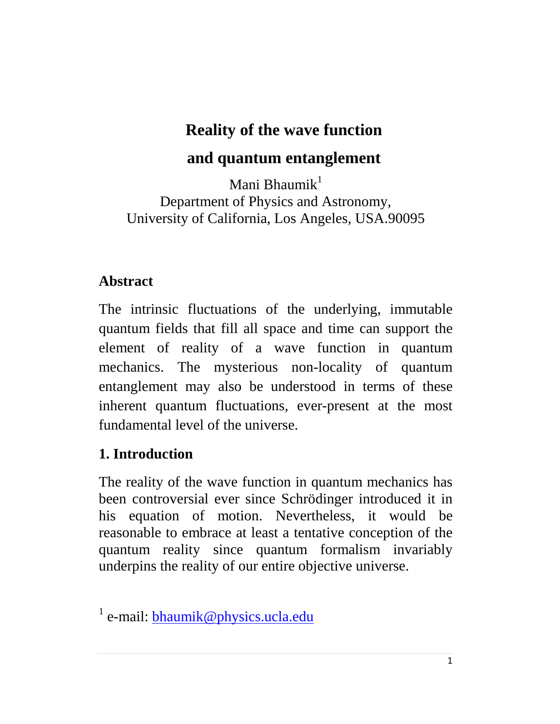# **Reality of the wave function**

# **and quantum entanglement**

Mani Bhaumik $<sup>1</sup>$ </sup> Department of Physics and Astronomy, University of California, Los Angeles, USA.90095

### **Abstract**

The intrinsic fluctuations of the underlying, immutable quantum fields that fill all space and time can support the element of reality of a wave function in quantum mechanics. The mysterious non-locality of quantum entanglement may also be understood in terms of these inherent quantum fluctuations, ever-present at the most fundamental level of the universe.

### **1. Introduction**

The reality of the wave function in quantum mechanics has been controversial ever since Schrödinger introduced it in his equation of motion. Nevertheless, it would be reasonable to embrace at least a tentative conception of the quantum reality since quantum formalism invariably underpins the reality of our entire objective universe.

<sup>&</sup>lt;sup>1</sup> e-mail: **bhaumik@physics.ucla.edu**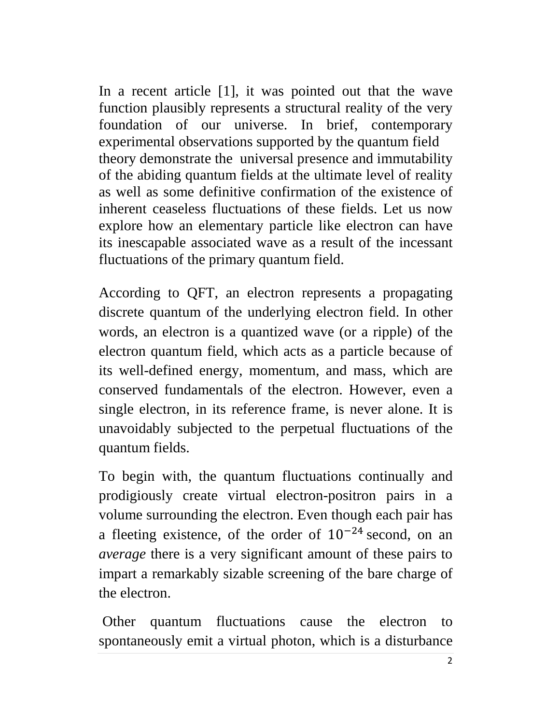In a recent article [1], it was pointed out that the wave function plausibly represents a structural reality of the very foundation of our universe. In brief, contemporary experimental observations supported by the quantum field theory demonstrate the universal presence and immutability of the abiding quantum fields at the ultimate level of reality as well as some definitive confirmation of the existence of inherent ceaseless fluctuations of these fields. Let us now explore how an elementary particle like electron can have its inescapable associated wave as a result of the incessant fluctuations of the primary quantum field.

According to QFT, an electron represents a propagating discrete quantum of the underlying electron field. In other words, an electron is a quantized wave (or a ripple) of the electron quantum field, which acts as a particle because of its well-defined energy, momentum, and mass, which are conserved fundamentals of the electron. However, even a single electron, in its reference frame, is never alone. It is unavoidably subjected to the perpetual fluctuations of the quantum fields.

To begin with, the quantum fluctuations continually and prodigiously create virtual electron-positron pairs in a volume surrounding the electron. Even though each pair has a fleeting existence, of the order of 10−24 second, on an *average* there is a very significant amount of these pairs to impart a remarkably sizable screening of the bare charge of the electron.

Other quantum fluctuations cause the electron to spontaneously emit a virtual photon, which is a disturbance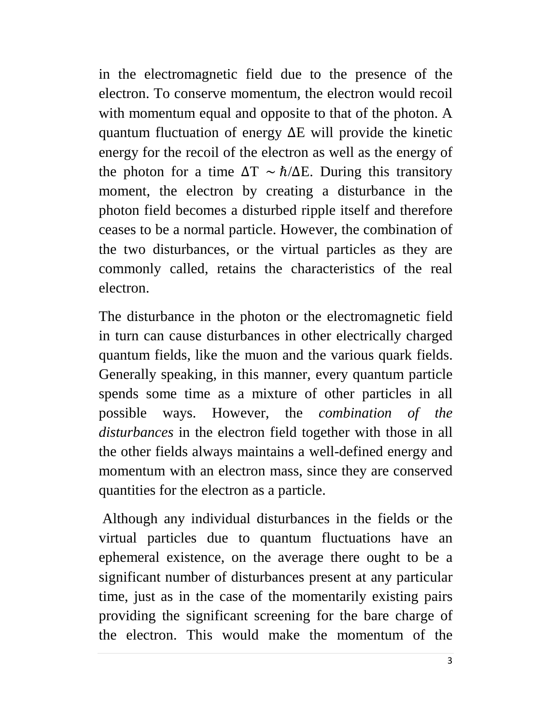in the electromagnetic field due to the presence of the electron. To conserve momentum, the electron would recoil with momentum equal and opposite to that of the photon. A quantum fluctuation of energy ∆E will provide the kinetic energy for the recoil of the electron as well as the energy of the photon for a time  $\Delta T \sim \hbar / \Delta E$ . During this transitory moment, the electron by creating a disturbance in the photon field becomes a disturbed ripple itself and therefore ceases to be a normal particle. However, the combination of the two disturbances, or the virtual particles as they are commonly called, retains the characteristics of the real electron.

The disturbance in the photon or the electromagnetic field in turn can cause disturbances in other electrically charged quantum fields, like the muon and the various quark fields. Generally speaking, in this manner, every quantum particle spends some time as a mixture of other particles in all possible ways. However, the *combination of the disturbances* in the electron field together with those in all the other fields always maintains a well-defined energy and momentum with an electron mass, since they are conserved quantities for the electron as a particle.

Although any individual disturbances in the fields or the virtual particles due to quantum fluctuations have an ephemeral existence, on the average there ought to be a significant number of disturbances present at any particular time, just as in the case of the momentarily existing pairs providing the significant screening for the bare charge of the electron. This would make the momentum of the

3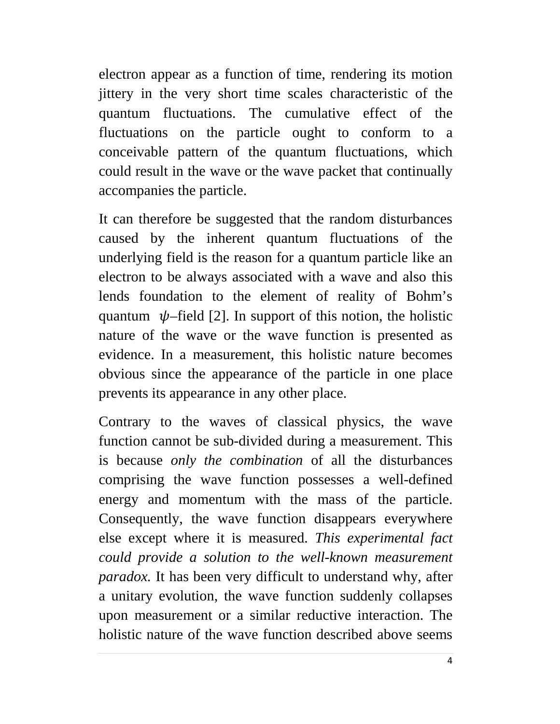electron appear as a function of time, rendering its motion jittery in the very short time scales characteristic of the quantum fluctuations. The cumulative effect of the fluctuations on the particle ought to conform to a conceivable pattern of the quantum fluctuations, which could result in the wave or the wave packet that continually accompanies the particle.

It can therefore be suggested that the random disturbances caused by the inherent quantum fluctuations of the underlying field is the reason for a quantum particle like an electron to be always associated with a wave and also this lends foundation to the element of reality of Bohm's quantum  $\psi$ -field [2]. In support of this notion, the holistic nature of the wave or the wave function is presented as evidence. In a measurement, this holistic nature becomes obvious since the appearance of the particle in one place prevents its appearance in any other place.

Contrary to the waves of classical physics, the wave function cannot be sub-divided during a measurement. This is because *only the combination* of all the disturbances comprising the wave function possesses a well-defined energy and momentum with the mass of the particle. Consequently, the wave function disappears everywhere else except where it is measured. *This experimental fact could provide a solution to the well-known measurement paradox.* It has been very difficult to understand why, after a unitary evolution, the wave function suddenly collapses upon measurement or a similar reductive interaction. The holistic nature of the wave function described above seems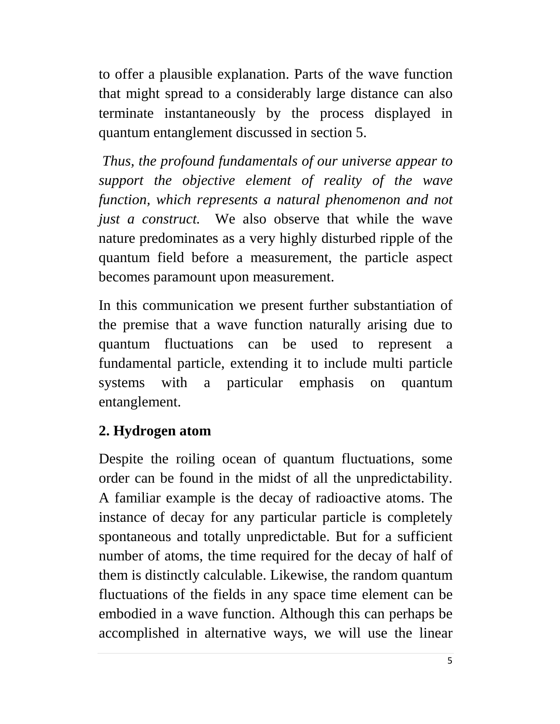to offer a plausible explanation. Parts of the wave function that might spread to a considerably large distance can also terminate instantaneously by the process displayed in quantum entanglement discussed in section 5.

*Thus, the profound fundamentals of our universe appear to support the objective element of reality of the wave function, which represents a natural phenomenon and not just a construct.* We also observe that while the wave nature predominates as a very highly disturbed ripple of the quantum field before a measurement, the particle aspect becomes paramount upon measurement.

In this communication we present further substantiation of the premise that a wave function naturally arising due to quantum fluctuations can be used to represent a fundamental particle, extending it to include multi particle systems with a particular emphasis on quantum entanglement.

### **2. Hydrogen atom**

Despite the roiling ocean of quantum fluctuations, some order can be found in the midst of all the unpredictability. A familiar example is the decay of radioactive atoms. The instance of decay for any particular particle is completely spontaneous and totally unpredictable. But for a sufficient number of atoms, the time required for the decay of half of them is distinctly calculable. Likewise, the random quantum fluctuations of the fields in any space time element can be embodied in a wave function. Although this can perhaps be accomplished in alternative ways, we will use the linear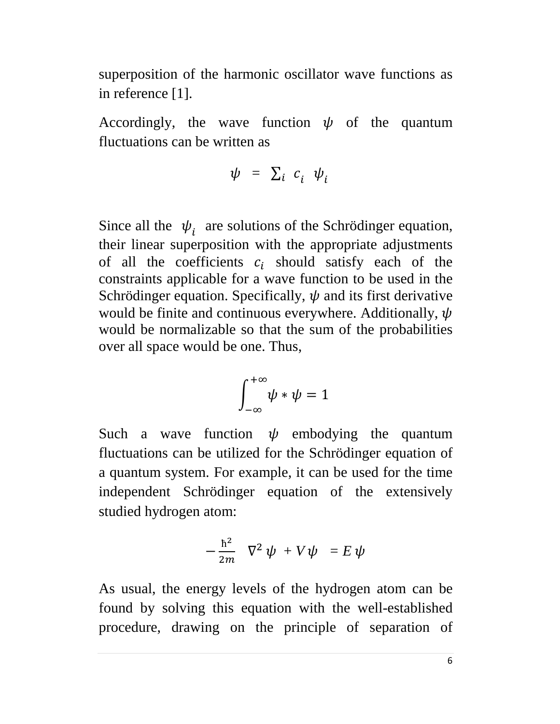superposition of the harmonic oscillator wave functions as in reference [1].

Accordingly, the wave function  $\psi$  of the quantum fluctuations can be written as

$$
\psi = \sum_i c_i \psi_i
$$

Since all the  $\psi_i$  are solutions of the Schrödinger equation, their linear superposition with the appropriate adjustments of all the coefficients  $c_i$  should satisfy each of the constraints applicable for a wave function to be used in the Schrödinger equation. Specifically,  $\psi$  and its first derivative would be finite and continuous everywhere. Additionally,  $\psi$ would be normalizable so that the sum of the probabilities over all space would be one. Thus,

$$
\int_{-\infty}^{+\infty} \psi * \psi = 1
$$

Such a wave function  $\psi$  embodying the quantum fluctuations can be utilized for the Schrödinger equation of a quantum system. For example, it can be used for the time independent Schrödinger equation of the extensively studied hydrogen atom:

$$
-\frac{\hbar^2}{2m}\ \nabla^2\ \psi\ +V\psi\ =E\ \psi
$$

As usual, the energy levels of the hydrogen atom can be found by solving this equation with the well-established procedure, drawing on the principle of separation of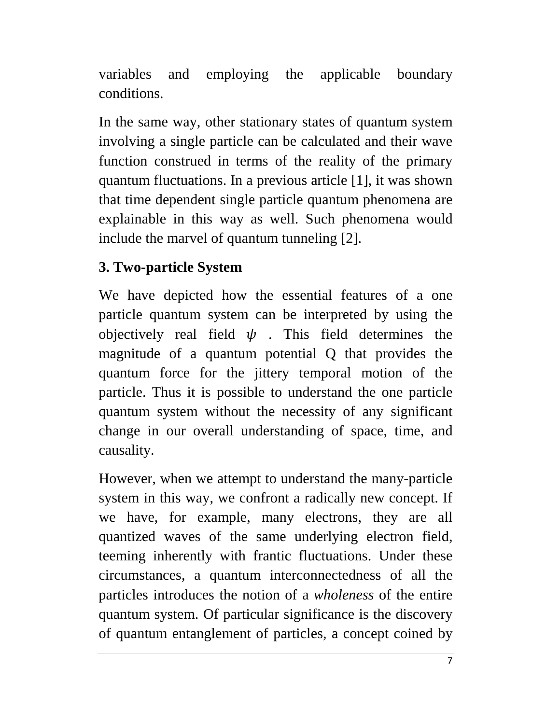variables and employing the applicable boundary conditions.

In the same way, other stationary states of quantum system involving a single particle can be calculated and their wave function construed in terms of the reality of the primary quantum fluctuations. In a previous article [1], it was shown that time dependent single particle quantum phenomena are explainable in this way as well. Such phenomena would include the marvel of quantum tunneling [2].

## **3. Two-particle System**

We have depicted how the essential features of a one particle quantum system can be interpreted by using the objectively real field  $\psi$ . This field determines the magnitude of a quantum potential Q that provides the quantum force for the jittery temporal motion of the particle. Thus it is possible to understand the one particle quantum system without the necessity of any significant change in our overall understanding of space, time, and causality.

However, when we attempt to understand the many-particle system in this way, we confront a radically new concept. If we have, for example, many electrons, they are all quantized waves of the same underlying electron field, teeming inherently with frantic fluctuations. Under these circumstances, a quantum interconnectedness of all the particles introduces the notion of a *wholeness* of the entire quantum system. Of particular significance is the discovery of quantum entanglement of particles, a concept coined by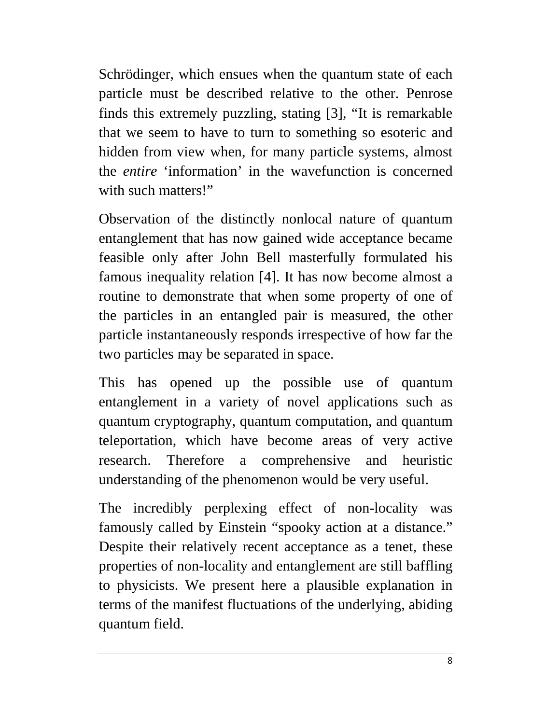Schrödinger, which ensues when the [quantum state](http://en.wikipedia.org/wiki/Quantum_state) of each particle must be described relative to the other. Penrose finds this extremely puzzling, stating [3], "It is remarkable that we seem to have to turn to something so esoteric and hidden from view when, for many particle systems, almost the *entire* 'information' in the wavefunction is concerned with such matters!"

Observation of the distinctly nonlocal nature of quantum entanglement that has now gained wide acceptance became feasible only after John Bell masterfully formulated his famous inequality relation [4]. It has now become almost a routine to demonstrate that when some property of one of the particles in an entangled pair is measured, the other particle instantaneously responds irrespective of how far the two particles may be separated in space.

This has opened up the possible use of quantum entanglement in a variety of novel applications such as quantum cryptography, quantum computation, and quantum teleportation, which have become areas of very active research. Therefore a comprehensive and heuristic understanding of the phenomenon would be very useful.

The incredibly perplexing effect of non-locality was famously called by Einstein "spooky action at a distance." Despite their relatively recent acceptance as a tenet, these properties of non-locality and entanglement are still baffling to physicists. We present here a plausible explanation in terms of the manifest fluctuations of the underlying, abiding quantum field.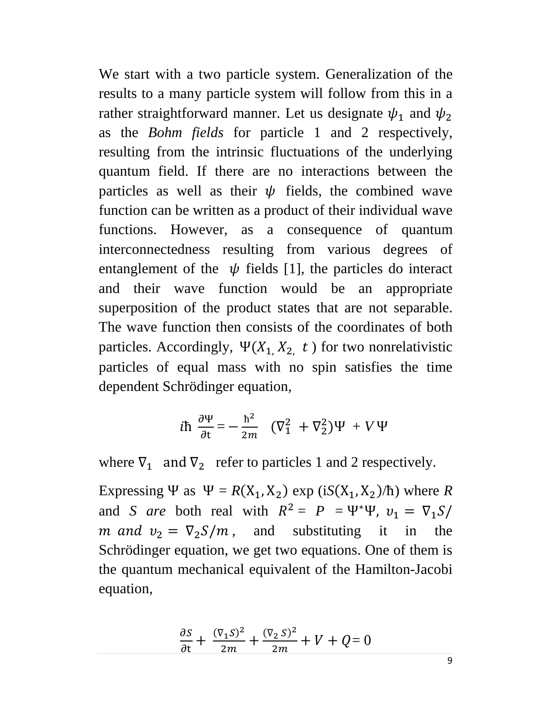We start with a two particle system. Generalization of the results to a many particle system will follow from this in a rather straightforward manner. Let us designate  $\psi_1$  and  $\psi_2$ as the *Bohm fields* for particle 1 and 2 respectively, resulting from the intrinsic fluctuations of the underlying quantum field. If there are no interactions between the particles as well as their  $\psi$  fields, the combined wave function can be written as a product of their individual wave functions. However, as a consequence of quantum interconnectedness resulting from various degrees of entanglement of the  $\psi$  fields [1], the particles do interact and their wave function would be an appropriate superposition of the product states that are not separable. The wave function then consists of the coordinates of both particles. Accordingly,  $\Psi(X_1, X_2, t)$  for two nonrelativistic particles of equal mass with no spin satisfies the time dependent Schrödinger equation,

$$
i\hbar \frac{\partial \Psi}{\partial t} = -\frac{\hbar^2}{2m} \left( \nabla_1^2 + \nabla_2^2 \right) \Psi + V \Psi
$$

where  $\nabla_1$  and  $\nabla_2$  refer to particles 1 and 2 respectively.

Expressing Ψ as  $\Psi = R(X_1, X_2)$  exp (i $S(X_1, X_2)/\hbar$ ) where *R* and *S* are both real with  $R^2 = P = \Psi^* \Psi$ ,  $v_1 = \nabla_1 S$ *m* and  $v_2 = \nabla_2 S/m$ , and substituting it in the Schrödinger equation, we get two equations. One of them is the quantum mechanical equivalent of the Hamilton-Jacobi equation,

$$
\frac{\partial S}{\partial t} + \frac{(\nabla_1 S)^2}{2m} + \frac{(\nabla_2 S)^2}{2m} + V + Q = 0
$$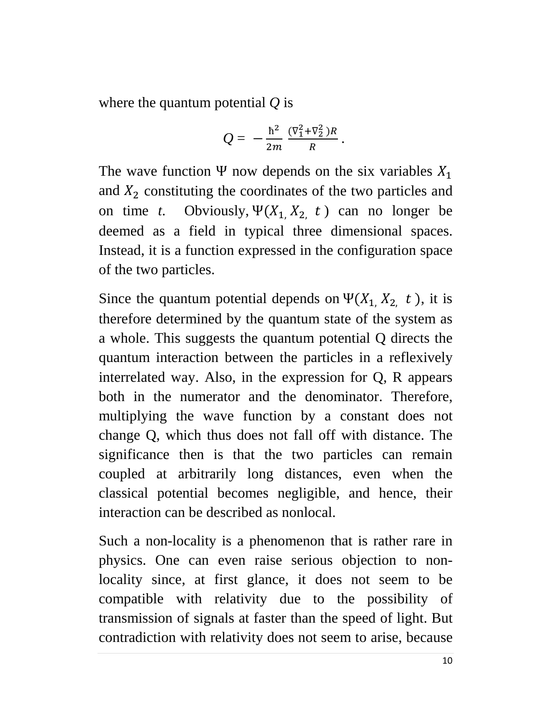where the quantum potential *Q* is

$$
Q = -\frac{\hbar^2}{2m} \frac{(\nabla_1^2 + \nabla_2^2)R}{R}.
$$

The wave function Ψ now depends on the six variables  $X_1$ and  $X_2$  constituting the coordinates of the two particles and on time *t*. Obviously,  $\Psi(X_1, X_2, t)$  can no longer be deemed as a field in typical three dimensional spaces. Instead, it is a function expressed in the configuration space of the two particles.

Since the quantum potential depends on  $\Psi(X_1, X_2, t)$ , it is therefore determined by the quantum state of the system as a whole. This suggests the quantum potential Q directs the quantum interaction between the particles in a reflexively interrelated way. Also, in the expression for Q, R appears both in the numerator and the denominator. Therefore, multiplying the wave function by a constant does not change Q, which thus does not fall off with distance. The significance then is that the two particles can remain coupled at arbitrarily long distances, even when the classical potential becomes negligible, and hence, their interaction can be described as nonlocal.

Such a non-locality is a phenomenon that is rather rare in physics. One can even raise serious objection to nonlocality since, at first glance, it does not seem to be compatible with relativity due to the possibility of transmission of signals at faster than the speed of light. But contradiction with relativity does not seem to arise, because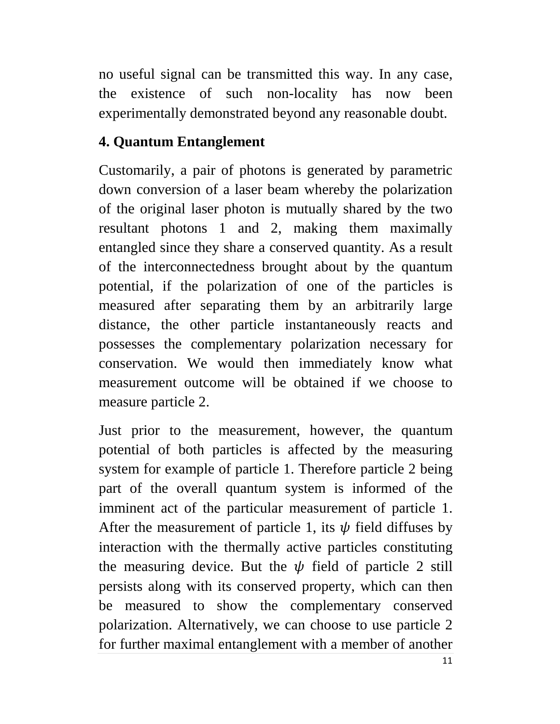no useful signal can be transmitted this way. In any case, the existence of such non-locality has now been experimentally demonstrated beyond any reasonable doubt.

## **4. Quantum Entanglement**

Customarily, a pair of photons is generated by parametric down conversion of a laser beam whereby the polarization of the original laser photon is mutually shared by the two resultant photons 1 and 2, making them maximally entangled since they share a conserved quantity. As a result of the interconnectedness brought about by the quantum potential, if the polarization of one of the particles is measured after separating them by an arbitrarily large distance, the other particle instantaneously reacts and possesses the complementary polarization necessary for conservation. We would then immediately know what measurement outcome will be obtained if we choose to measure particle 2.

Just prior to the measurement, however, the quantum potential of both particles is affected by the measuring system for example of particle 1. Therefore particle 2 being part of the overall quantum system is informed of the imminent act of the particular measurement of particle 1. After the measurement of particle 1, its  $\psi$  field diffuses by interaction with the thermally active particles constituting the measuring device. But the  $\psi$  field of particle 2 still persists along with its conserved property, which can then be measured to show the complementary conserved polarization. Alternatively, we can choose to use particle 2 for further maximal entanglement with a member of another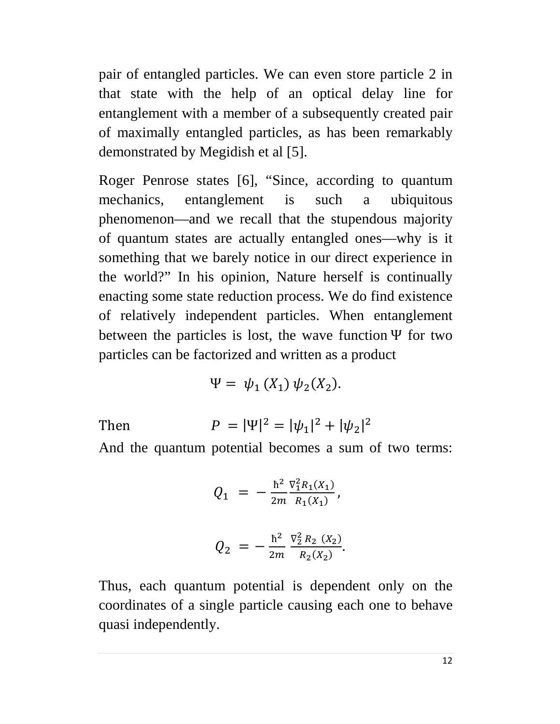pair of entangled particles. We can even store particle 2 in that state with the help of an optical delay line for entanglement with a member of a subsequently created pair of maximally entangled particles, as has been remarkably demonstrated by Megidish et al [5].

Roger Penrose states [6], "Since, according to quantum mechanics, entanglement is such a ubiquitous phenomenon—and we recall that the stupendous majority of quantum states are actually entangled ones—why is it something that we barely notice in our direct experience in the world?" In his opinion, Nature herself is continually enacting some state reduction process. We do find existence of relatively independent particles. When entanglement between the particles is lost, the wave function  $\Psi$  for two particles can be factorized and written as a product

$$
\Psi = \psi_1(X_1) \psi_2(X_2).
$$

 $Then$ 

$$
P = |\Psi|^2 = |\psi_1|^2 + |\psi_2|^2
$$

And the quantum potential becomes a sum of two terms:

$$
Q_1 = -\frac{\hbar^2}{2m} \frac{\nabla_1^2 R_1(X_1)}{R_1(X_1)},
$$
  

$$
Q_2 = -\frac{\hbar^2}{2m} \frac{\nabla_2^2 R_2(X_2)}{R_2(X_2)}.
$$

Thus, each quantum potential is dependent only on the coordinates of a single particle causing each one to behave quasi independently.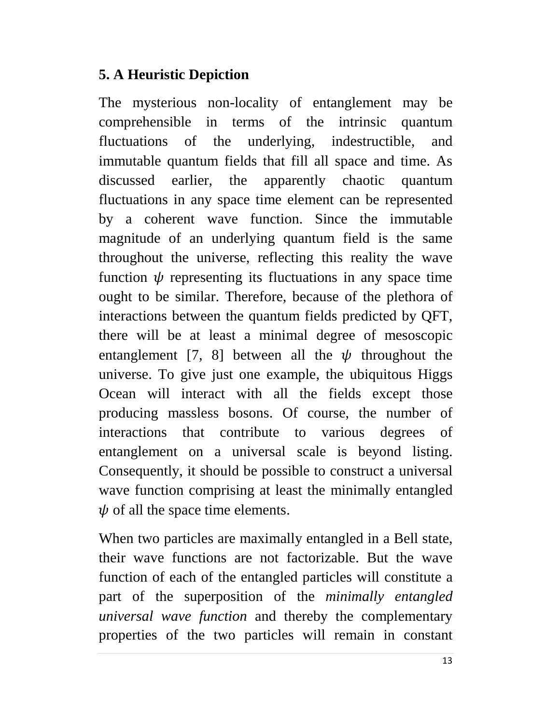### **5. A Heuristic Depiction**

The mysterious non-locality of entanglement may be comprehensible in terms of the intrinsic quantum fluctuations of the underlying, indestructible, and immutable quantum fields that fill all space and time. As discussed earlier, the apparently chaotic quantum fluctuations in any space time element can be represented by a coherent wave function. Since the immutable magnitude of an underlying quantum field is the same throughout the universe, reflecting this reality the wave function  $\psi$  representing its fluctuations in any space time ought to be similar. Therefore, because of the plethora of interactions between the quantum fields predicted by QFT, there will be at least a minimal degree of mesoscopic entanglement [7, 8] between all the  $\psi$  throughout the universe. To give just one example, the ubiquitous Higgs Ocean will interact with all the fields except those producing massless bosons. Of course, the number of interactions that contribute to various degrees of entanglement on a universal scale is beyond listing. Consequently, it should be possible to construct a universal wave function comprising at least the minimally entangled  $\psi$  of all the space time elements.

When two particles are maximally entangled in a Bell state, their wave functions are not factorizable. But the wave function of each of the entangled particles will constitute a part of the superposition of the *minimally entangled universal wave function* and thereby the complementary properties of the two particles will remain in constant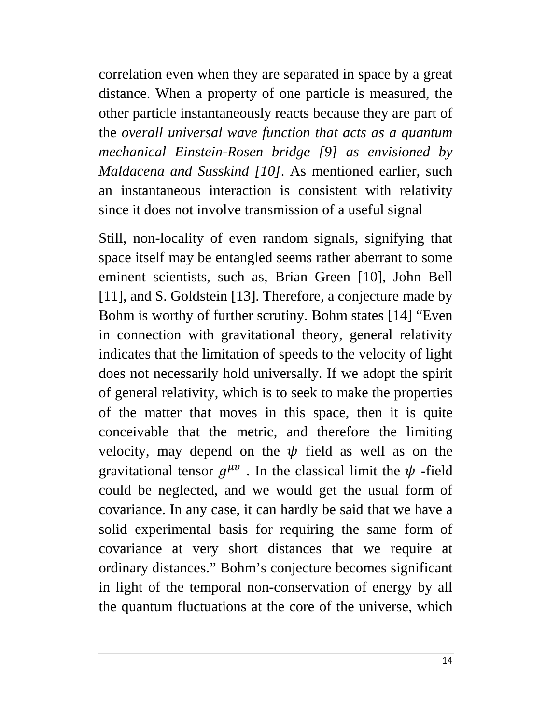correlation even when they are separated in space by a great distance. When a property of one particle is measured, the other particle instantaneously reacts because they are part of the *overall universal wave function that acts as a quantum mechanical Einstein-Rosen bridge [9] as envisioned by Maldacena and Susskind [10]*. As mentioned earlier, such an instantaneous interaction is consistent with relativity since it does not involve transmission of a useful signal

Still, non-locality of even random signals, signifying that space itself may be entangled seems rather aberrant to some eminent scientists, such as, Brian Green [10], John Bell [11], and S. Goldstein [13]. Therefore, a conjecture made by Bohm is worthy of further scrutiny. Bohm states [14] "Even in connection with gravitational theory, general relativity indicates that the limitation of speeds to the velocity of light does not necessarily hold universally. If we adopt the spirit of general relativity, which is to seek to make the properties of the matter that moves in this space, then it is quite conceivable that the metric, and therefore the limiting velocity, may depend on the  $\psi$  field as well as on the gravitational tensor  $g^{\mu\nu}$ . In the classical limit the  $\psi$ -field could be neglected, and we would get the usual form of covariance. In any case, it can hardly be said that we have a solid experimental basis for requiring the same form of covariance at very short distances that we require at ordinary distances." Bohm's conjecture becomes significant in light of the temporal non-conservation of energy by all the quantum fluctuations at the core of the universe, which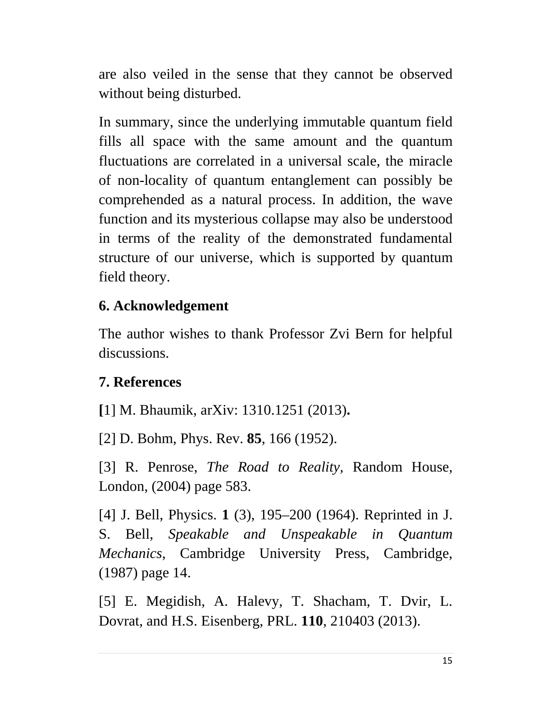are also veiled in the sense that they cannot be observed without being disturbed.

In summary, since the underlying immutable quantum field fills all space with the same amount and the quantum fluctuations are correlated in a universal scale, the miracle of non-locality of quantum entanglement can possibly be comprehended as a natural process. In addition, the wave function and its mysterious collapse may also be understood in terms of the reality of the demonstrated fundamental structure of our universe, which is supported by quantum field theory.

#### **6. Acknowledgement**

The author wishes to thank Professor Zvi Bern for helpful discussions.

### **7. References**

**[**1] M. Bhaumik, arXiv: 1310.1251 (2013)**.**

[2] D. Bohm, Phys. Rev. **85**, 166 (1952).

[3] R. Penrose, *The Road to Reality,* Random House, London, (2004) page 583.

[4] J. Bell, [Physics.](http://en.wikipedia.org/wiki/Physics_(journal)) **1** (3), 195–200 (1964). Reprinted in J. S. Bell, *Speakable and Unspeakable in Quantum Mechanics*, Cambridge University Press, Cambridge, (1987) page 14.

[5] E. Megidish, A. Halevy, T. Shacham, T. Dvir, L. Dovrat, and H.S. Eisenberg, PRL. **110**, 210403 (2013).